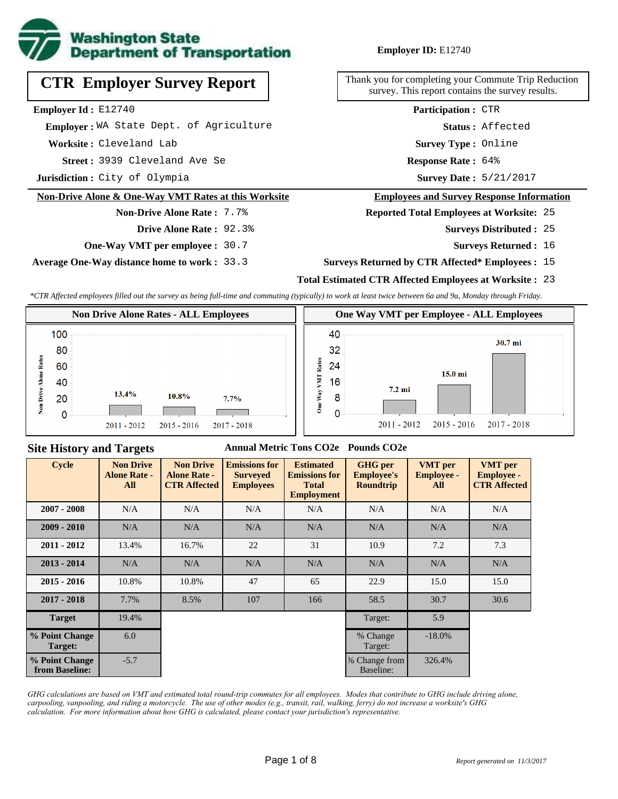

# **CTR Employer Survey Report**

**Employer Id :** E12740

 **Employer :** WA State Dept. of Agriculture

**Worksite :** Cleveland Lab

3939 Cleveland Ave Se **Response Rate : Street :**

**Jurisdiction :** City of Olympia

#### **Non-Drive Alone & One-Way VMT Rates at this Worksite**

## **Non-Drive Alone Rate :** 7.7% **Drive Alone Rate :** 92.3%

**One-Way VMT per employee :** 30.7

**Average One-Way distance home to work :** 33.3

#### **Employer ID:** E12740

Thank you for completing your Commute Trip Reduction survey. This report contains the survey results.

> **Survey Type :** Online **Status :** Affected **Participation :** CTR

Response Rate: 64%

Survey Date: 5/21/2017

#### **Employees and Survey Response Information**

**Reported Total Employees at Worksite:** 25

- 25 **Surveys Distributed :**
	- **Surveys Returned :** 16

#### **Surveys Returned by CTR Affected\* Employees :** 15

#### **Total Estimated CTR Affected Employees at Worksite :** 23

*\*CTR Affected employees filled out the survey as being full-time and commuting (typically) to work at least twice between 6a and 9a, Monday through Friday.*



### **Site History and Targets**

#### **Annual Metric Tons CO2e Pounds CO2e**

| <b>Cycle</b>                     | <b>Non Drive</b><br><b>Alone Rate -</b><br>All | <b>Non Drive</b><br><b>Alone Rate -</b><br><b>CTR Affected</b> | <b>Emissions for</b><br><b>Surveyed</b><br><b>Employees</b> | <b>Estimated</b><br><b>Emissions for</b><br><b>Total</b><br><b>Employment</b> | <b>GHG</b> per<br><b>Employee's</b><br>Roundtrip | <b>VMT</b> per<br><b>Employee -</b><br>All | <b>VMT</b> per<br><b>Employee -</b><br><b>CTR Affected</b> |
|----------------------------------|------------------------------------------------|----------------------------------------------------------------|-------------------------------------------------------------|-------------------------------------------------------------------------------|--------------------------------------------------|--------------------------------------------|------------------------------------------------------------|
| $2007 - 2008$                    | N/A                                            | N/A                                                            | N/A                                                         | N/A                                                                           | N/A                                              | N/A                                        | N/A                                                        |
| $2009 - 2010$                    | N/A                                            | N/A                                                            | N/A                                                         | N/A                                                                           | N/A                                              | N/A                                        | N/A                                                        |
| $2011 - 2012$                    | 13.4%                                          | 16.7%                                                          | 22                                                          | 31                                                                            | 10.9                                             | 7.2                                        | 7.3                                                        |
| $2013 - 2014$                    | N/A                                            | N/A                                                            | N/A                                                         | N/A                                                                           | N/A                                              | N/A                                        | N/A                                                        |
| $2015 - 2016$                    | 10.8%                                          | 10.8%                                                          | 47                                                          | 65                                                                            | 22.9                                             | 15.0                                       | 15.0                                                       |
| $2017 - 2018$                    | 7.7%                                           | 8.5%                                                           | 107                                                         | 166                                                                           | 58.5                                             | 30.7                                       | 30.6                                                       |
| <b>Target</b>                    | 19.4%                                          |                                                                |                                                             |                                                                               | Target:                                          | 5.9                                        |                                                            |
| % Point Change<br>Target:        | 6.0                                            |                                                                |                                                             |                                                                               | % Change<br>Target:                              | $-18.0\%$                                  |                                                            |
| % Point Change<br>from Baseline: | $-5.7$                                         |                                                                |                                                             |                                                                               | % Change from<br>Baseline:                       | 326.4%                                     |                                                            |

*GHG calculations are based on VMT and estimated total round-trip commutes for all employees. Modes that contribute to GHG include driving alone, carpooling, vanpooling, and riding a motorcycle. The use of other modes (e.g., transit, rail, walking, ferry) do not increase a worksite's GHG calculation. For more information about how GHG is calculated, please contact your jurisdiction's representative.*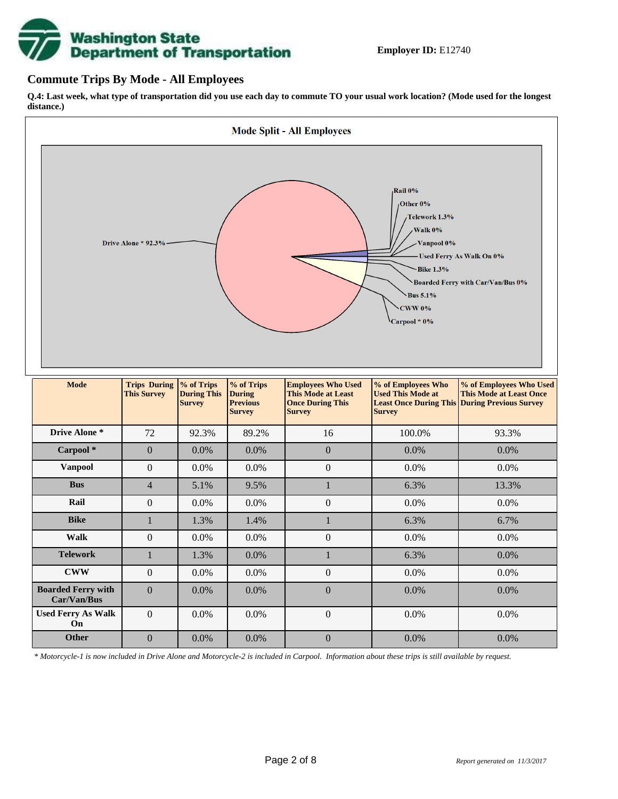

### **Commute Trips By Mode - All Employees**

**Q.4: Last week, what type of transportation did you use each day to commute TO your usual work location? (Mode used for the longest distance.)**



*\* Motorcycle-1 is now included in Drive Alone and Motorcycle-2 is included in Carpool. Information about these trips is still available by request.*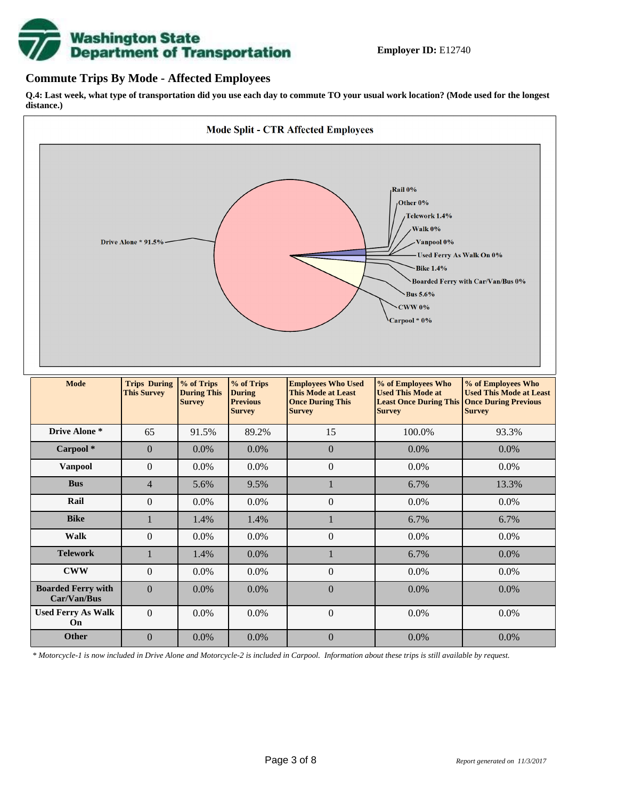

## **Commute Trips By Mode - Affected Employees**

**Q.4: Last week, what type of transportation did you use each day to commute TO your usual work location? (Mode used for the longest distance.)**



*\* Motorcycle-1 is now included in Drive Alone and Motorcycle-2 is included in Carpool. Information about these trips is still available by request.*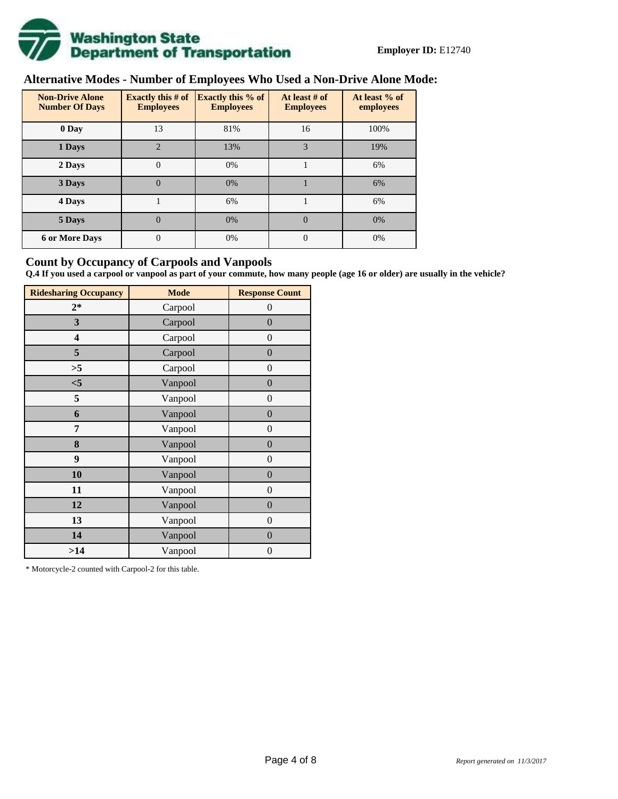

# **Alternative Modes - Number of Employees Who Used a Non-Drive Alone Mode:**

| <b>Non-Drive Alone</b><br><b>Number Of Days</b> | <b>Exactly this # of</b><br><b>Employees</b> | <b>Exactly this % of</b><br><b>Employees</b> | At least # of<br><b>Employees</b> | At least % of<br>employees |  |  |
|-------------------------------------------------|----------------------------------------------|----------------------------------------------|-----------------------------------|----------------------------|--|--|
| 0 Day                                           | 13                                           | 81%                                          | 16                                | 100%                       |  |  |
| 1 Days                                          | $\overline{2}$                               | 13%                                          | 3                                 | 19%                        |  |  |
| 2 Days                                          | $\overline{0}$                               | 0%                                           |                                   | 6%                         |  |  |
| 3 Days                                          | $\theta$                                     | 0%                                           |                                   | 6%                         |  |  |
| 4 Days                                          |                                              | 6%                                           |                                   | 6%                         |  |  |
| 5 Days                                          | $\overline{0}$                               | 0%                                           | $\Omega$                          | 0%                         |  |  |
| <b>6 or More Days</b>                           | 0                                            | 0%                                           | $\Omega$                          | 0%                         |  |  |

## **Count by Occupancy of Carpools and Vanpools**

**Q.4 If you used a carpool or vanpool as part of your commute, how many people (age 16 or older) are usually in the vehicle?**

| <b>Ridesharing Occupancy</b> | <b>Mode</b> | <b>Response Count</b> |
|------------------------------|-------------|-----------------------|
| $2*$                         | Carpool     | 0                     |
| 3                            | Carpool     | $\boldsymbol{0}$      |
| 4                            | Carpool     | $\boldsymbol{0}$      |
| 5                            | Carpool     | $\boldsymbol{0}$      |
| >5                           | Carpool     | $\overline{0}$        |
| $<$ 5                        | Vanpool     | $\overline{0}$        |
| 5                            | Vanpool     | $\boldsymbol{0}$      |
| 6                            | Vanpool     | $\boldsymbol{0}$      |
| 7                            | Vanpool     | $\boldsymbol{0}$      |
| 8                            | Vanpool     | $\boldsymbol{0}$      |
| 9                            | Vanpool     | $\boldsymbol{0}$      |
| 10                           | Vanpool     | $\overline{0}$        |
| 11                           | Vanpool     | $\overline{0}$        |
| 12                           | Vanpool     | $\boldsymbol{0}$      |
| 13                           | Vanpool     | $\boldsymbol{0}$      |
| 14                           | Vanpool     | $\overline{0}$        |
| >14                          | Vanpool     | $\boldsymbol{0}$      |

\* Motorcycle-2 counted with Carpool-2 for this table.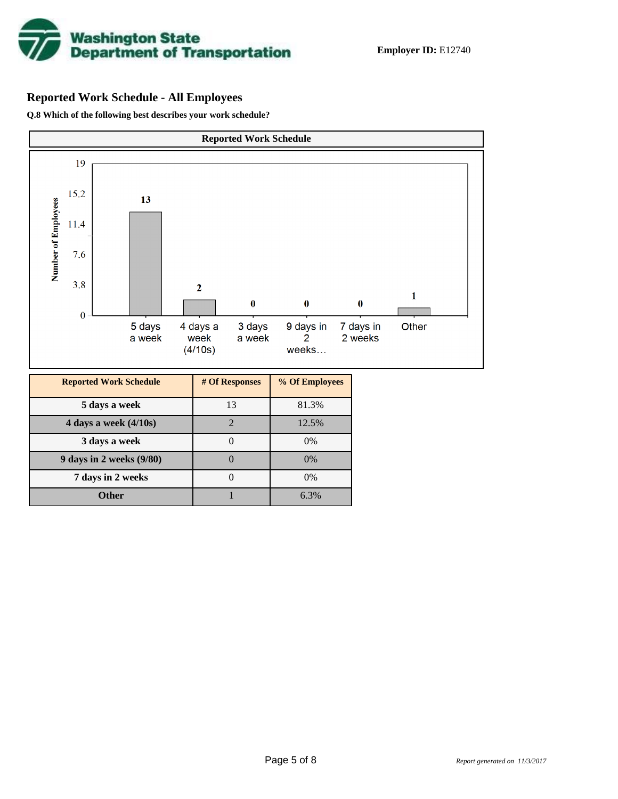

# **Reported Work Schedule - All Employees**

**Q.8 Which of the following best describes your work schedule?**

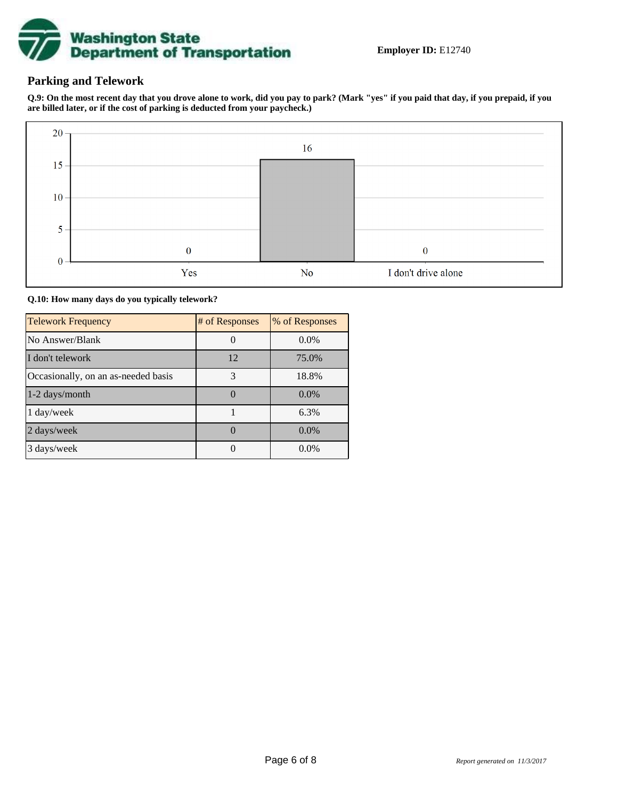

# **Parking and Telework**

**Q.9: On the most recent day that you drove alone to work, did you pay to park? (Mark "yes" if you paid that day, if you prepaid, if you are billed later, or if the cost of parking is deducted from your paycheck.)**



**Q.10: How many days do you typically telework?**

| <b>Telework Frequency</b>           | # of Responses | % of Responses |
|-------------------------------------|----------------|----------------|
| No Answer/Blank                     |                | $0.0\%$        |
| I don't telework                    | 12             | 75.0%          |
| Occasionally, on an as-needed basis | 3              | 18.8%          |
| 1-2 days/month                      |                | $0.0\%$        |
| 1 day/week                          |                | 6.3%           |
| 2 days/week                         |                | $0.0\%$        |
| 3 days/week                         |                | $0.0\%$        |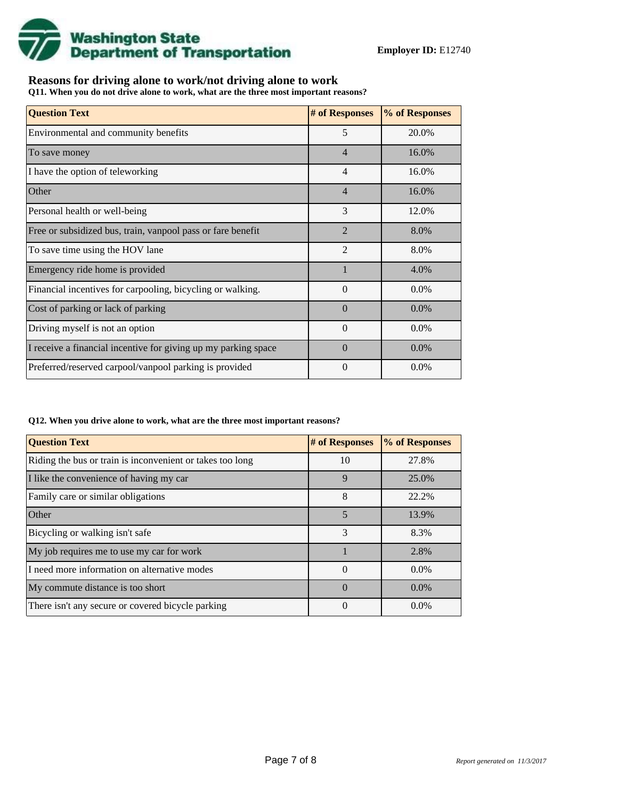

# **Reasons for driving alone to work/not driving alone to work**

**Q11. When you do not drive alone to work, what are the three most important reasons?**

| <b>Question Text</b>                                           | # of Responses | % of Responses |
|----------------------------------------------------------------|----------------|----------------|
| Environmental and community benefits                           | 5              | 20.0%          |
| To save money                                                  | $\overline{4}$ | 16.0%          |
| I have the option of teleworking                               | $\overline{4}$ | 16.0%          |
| Other                                                          | $\overline{4}$ | 16.0%          |
| Personal health or well-being                                  | 3              | 12.0%          |
| Free or subsidized bus, train, vanpool pass or fare benefit    | $\mathfrak{D}$ | 8.0%           |
| To save time using the HOV lane                                | $\overline{2}$ | 8.0%           |
| Emergency ride home is provided                                |                | 4.0%           |
| Financial incentives for carpooling, bicycling or walking.     | $\Omega$       | $0.0\%$        |
| Cost of parking or lack of parking                             | $\Omega$       | $0.0\%$        |
| Driving myself is not an option                                | $\Omega$       | $0.0\%$        |
| I receive a financial incentive for giving up my parking space | $\Omega$       | $0.0\%$        |
| Preferred/reserved carpool/vanpool parking is provided         | $\Omega$       | $0.0\%$        |

#### **Q12. When you drive alone to work, what are the three most important reasons?**

| <b>Question Text</b>                                      | # of Responses | % of Responses |
|-----------------------------------------------------------|----------------|----------------|
| Riding the bus or train is inconvenient or takes too long | 10             | 27.8%          |
| I like the convenience of having my car                   | $\mathbf{Q}$   | 25.0%          |
| Family care or similar obligations                        | 8              | 22.2%          |
| <b>Other</b>                                              | 5              | 13.9%          |
| Bicycling or walking isn't safe                           | 3              | 8.3%           |
| My job requires me to use my car for work                 |                | 2.8%           |
| I need more information on alternative modes              | $\Omega$       | $0.0\%$        |
| My commute distance is too short                          | $\Omega$       | $0.0\%$        |
| There isn't any secure or covered bicycle parking         | $\Omega$       | $0.0\%$        |